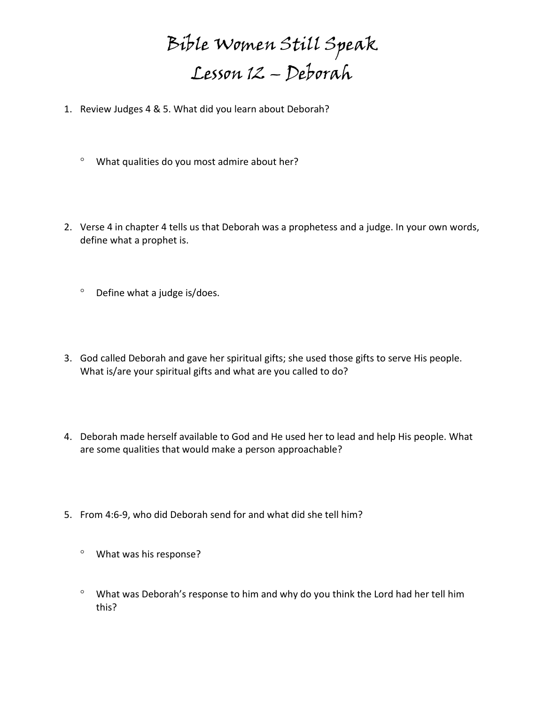Bible Women Still Speak Lesson 12 – Deborah

- 1. Review Judges 4 & 5. What did you learn about Deborah?
	- What qualities do you most admire about her?
- 2. Verse 4 in chapter 4 tells us that Deborah was a prophetess and a judge. In your own words, define what a prophet is.
	- $°$  Define what a judge is/does.
- 3. God called Deborah and gave her spiritual gifts; she used those gifts to serve His people. What is/are your spiritual gifts and what are you called to do?
- 4. Deborah made herself available to God and He used her to lead and help His people. What are some qualities that would make a person approachable?
- 5. From 4:6-9, who did Deborah send for and what did she tell him?
	- What was his response?
	- What was Deborah's response to him and why do you think the Lord had her tell him this?